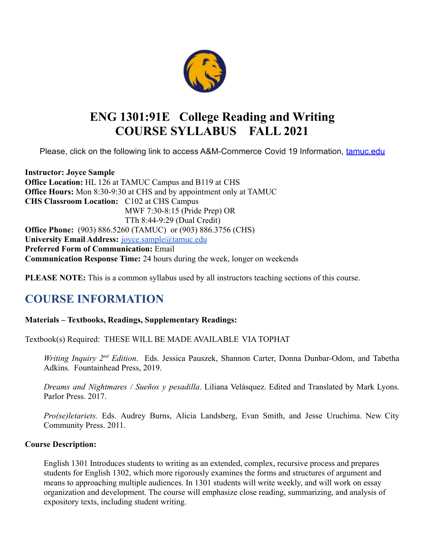

# **ENG 1301:91E College Reading and Writing COURSE SYLLABUS FALL 2021**

Please, click on the following link to access A&M-Commerce Covid 19 Information, [tamuc.edu](http://www.tamuc.edu/)

**Instructor: Joyce Sample Office Location:** HL 126 at TAMUC Campus and B119 at CHS **Office Hours:** Mon 8:30-9:30 at CHS and by appointment only at TAMUC **CHS Classroom Location:** C102 at CHS Campus MWF 7:30-8:15 (Pride Prep) OR TTh 8:44-9:29 (Dual Credit) **Office Phone:** (903) 886.5260 (TAMUC) or (903) 886.3756 (CHS) **University Email Address:** [joyce.sample@tamuc.edu](mailto:joyce.sample@tamuc.edu) **Preferred Form of Communication:** Email **Communication Response Time:** 24 hours during the week, longer on weekends

**PLEASE NOTE:** This is a common syllabus used by all instructors teaching sections of this course.

# **COURSE INFORMATION**

# **Materials – Textbooks, Readings, Supplementary Readings:**

Textbook(s) Required: THESE WILL BE MADE AVAILABLE VIA TOPHAT

*Writing Inquiry* 2<sup>nd</sup> Edition. Eds. Jessica Pauszek, Shannon Carter, Donna Dunbar-Odom, and Tabetha Adkins. Fountainhead Press, 2019.

*Dreams and Nightmares / Sueños y pesadilla*. Liliana Velásquez. Edited and Translated by Mark Lyons. Parlor Press. 2017.

*Pro(se)letariets.* Eds. Audrey Burns, Alicia Landsberg, Evan Smith, and Jesse Uruchima. New City Community Press. 2011.

### **Course Description:**

English 1301 Introduces students to writing as an extended, complex, recursive process and prepares students for English 1302, which more rigorously examines the forms and structures of argument and means to approaching multiple audiences. In 1301 students will write weekly, and will work on essay organization and development. The course will emphasize close reading, summarizing, and analysis of expository texts, including student writing.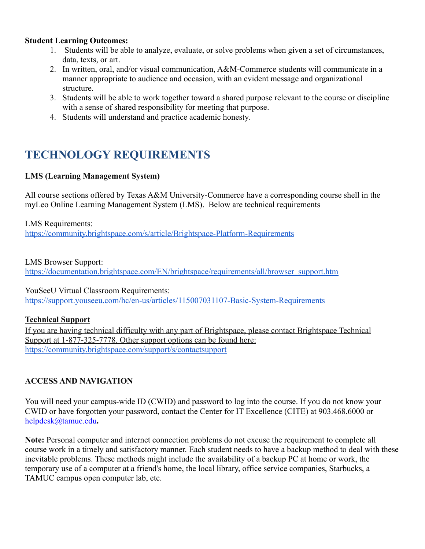## **Student Learning Outcomes:**

- 1. Students will be able to analyze, evaluate, or solve problems when given a set of circumstances, data, texts, or art.
- 2. In written, oral, and/or visual communication, A&M-Commerce students will communicate in a manner appropriate to audience and occasion, with an evident message and organizational structure.
- 3. Students will be able to work together toward a shared purpose relevant to the course or discipline with a sense of shared responsibility for meeting that purpose.
- 4. Students will understand and practice academic honesty.

# **TECHNOLOGY REQUIREMENTS**

# **LMS (Learning Management System)**

All course sections offered by Texas A&M University-Commerce have a corresponding course shell in the myLeo Online Learning Management System (LMS). Below are technical requirements

LMS Requirements: <https://community.brightspace.com/s/article/Brightspace-Platform-Requirements>

LMS Browser Support:

[https://documentation.brightspace.com/EN/brightspace/requirements/all/browser\\_support.htm](https://documentation.brightspace.com/EN/brightspace/requirements/all/browser_support.htm)

YouSeeU Virtual Classroom Requirements:

<https://support.youseeu.com/hc/en-us/articles/115007031107-Basic-System-Requirements>

# **Technical Support**

If you are having technical difficulty with any part of Brightspace, please contact Brightspace Technical Support at 1-877-325-7778. Other support options can be found here: <https://community.brightspace.com/support/s/contactsupport>

# **ACCESS AND NAVIGATION**

You will need your campus-wide ID (CWID) and password to log into the course. If you do not know your CWID or have forgotten your password, contact the Center for IT Excellence (CITE) at 903.468.6000 or helpdesk@tamuc.edu**.**

**Note:** Personal computer and internet connection problems do not excuse the requirement to complete all course work in a timely and satisfactory manner. Each student needs to have a backup method to deal with these inevitable problems. These methods might include the availability of a backup PC at home or work, the temporary use of a computer at a friend's home, the local library, office service companies, Starbucks, a TAMUC campus open computer lab, etc.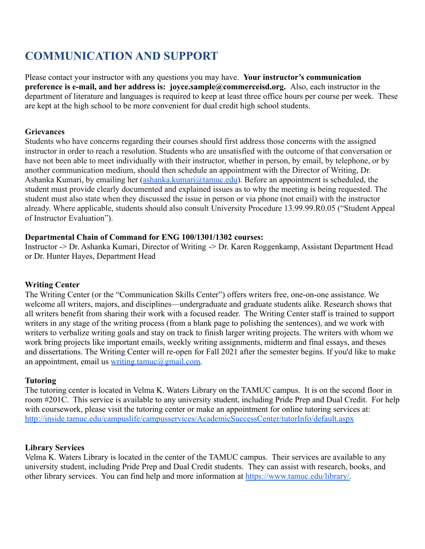# **COMMUNICATION AND SUPPORT**

Please contact your instructor with any questions you may have. **Your instructor's communication preference is e-mail, and her address is: joyce.sample@commerceisd.org.** Also, each instructor in the department of literature and languages is required to keep at least three office hours per course per week. These are kept at the high school to be more convenient for dual credit high school students.

## **Grievances**

Students who have concerns regarding their courses should first address those concerns with the assigned instructor in order to reach a resolution. Students who are unsatisfied with the outcome of that conversation or have not been able to meet individually with their instructor, whether in person, by email, by telephone, or by another communication medium, should then schedule an appointment with the Director of Writing, Dr. Ashanka Kumari, by emailing her ([ashanka.kumari@tamuc.edu](https://outlook.tamuc.edu/owa/redir.aspx?C=P15pt2a0_ByD__3l8Ue8cSv3TtfABKCCqcXF2s-rD98KGdwQGWPZCA..&URL=mailto%3aashanka.kumari%40tamuc.edu)). Before an appointment is scheduled, the student must provide clearly documented and explained issues as to why the meeting is being requested. The student must also state when they discussed the issue in person or via phone (not email) with the instructor already. Where applicable, students should also consult University Procedure 13.99.99.R0.05 ("Student Appeal of Instructor Evaluation").

## **Departmental Chain of Command for ENG 100/1301/1302 courses:**

Instructor -> Dr. Ashanka Kumari, Director of Writing -> Dr. Karen Roggenkamp, Assistant Department Head or Dr. Hunter Hayes, Department Head

# **Writing Center**

The Writing Center (or the "Communication Skills Center") offers writers free, one-on-one assistance. We welcome all writers, majors, and disciplines—undergraduate and graduate students alike. Research shows that all writers benefit from sharing their work with a focused reader. The Writing Center staff is trained to support writers in any stage of the writing process (from a blank page to polishing the sentences), and we work with writers to verbalize writing goals and stay on track to finish larger writing projects. The writers with whom we work bring projects like important emails, weekly writing assignments, midterm and final essays, and theses and dissertations. The Writing Center will re-open for Fall 2021 after the semester begins. If you'd like to make an appointment, email us writing  $t$ amuc $\omega$ gmail.com.

# **Tutoring**

The tutoring center is located in Velma K. Waters Library on the TAMUC campus. It is on the second floor in room #201C. This service is available to any university student, including Pride Prep and Dual Credit. For help with coursework, please visit the tutoring center or make an appointment for online tutoring services at: <http://inside.tamuc.edu/campuslife/campusservices/AcademicSuccessCenter/tutorInfo/default.aspx>

# **Library Services**

Velma K. Waters Library is located in the center of the TAMUC campus. Their services are available to any university student, including Pride Prep and Dual Credit students. They can assist with research, books, and other library services. You can find help and more information at [https://www.tamuc.edu/library/.](https://www.tamuc.edu/library/)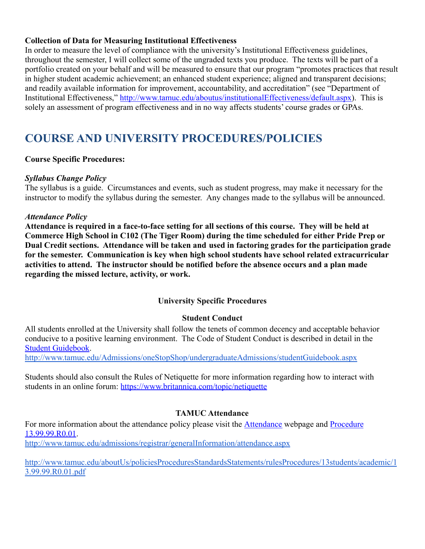## **Collection of Data for Measuring Institutional Effectiveness**

In order to measure the level of compliance with the university's Institutional Effectiveness guidelines, throughout the semester, I will collect some of the ungraded texts you produce. The texts will be part of a portfolio created on your behalf and will be measured to ensure that our program "promotes practices that result in higher student academic achievement; an enhanced student experience; aligned and transparent decisions; and readily available information for improvement, accountability, and accreditation" (see "Department of Institutional Effectiveness," [http://www.tamuc.edu/aboutus/institutionalEffectiveness/default.aspx\)](http://www.tamuc.edu/aboutus/institutionalEffectiveness/default.aspx). This is solely an assessment of program effectiveness and in no way affects students' course grades or GPAs.

# **COURSE AND UNIVERSITY PROCEDURES/POLICIES**

# **Course Specific Procedures:**

# *Syllabus Change Policy*

The syllabus is a guide. Circumstances and events, such as student progress, may make it necessary for the instructor to modify the syllabus during the semester. Any changes made to the syllabus will be announced.

## *Attendance Policy*

**Attendance is required in a face-to-face setting for all sections of this course. They will be held at Commerce High School in C102 (The Tiger Room) during the time scheduled for either Pride Prep or Dual Credit sections. Attendance will be taken and used in factoring grades for the participation grade for the semester. Communication is key when high school students have school related extracurricular activities to attend. The instructor should be notified before the absence occurs and a plan made regarding the missed lecture, activity, or work.**

# **University Specific Procedures**

# **Student Conduct**

All students enrolled at the University shall follow the tenets of common decency and acceptable behavior conducive to a positive learning environment. The Code of Student Conduct is described in detail in th[e](http://www.tamuc.edu/Admissions/oneStopShop/undergraduateAdmissions/studentGuidebook.aspx) [Student Guidebook.](http://www.tamuc.edu/Admissions/oneStopShop/undergraduateAdmissions/studentGuidebook.aspx)

<http://www.tamuc.edu/Admissions/oneStopShop/undergraduateAdmissions/studentGuidebook.aspx>

Students should also consult the Rules of Netiquette for more information regarding how to interact with students in an online forum: <https://www.britannica.com/topic/netiquette>

# **TAMUC Attendance**

For more information about the attendance policy please visit the [Attendance](http://www.tamuc.edu/admissions/registrar/generalInformation/attendance.aspx) webpage and [Procedure](http://www.tamuc.edu/aboutUs/policiesProceduresStandardsStatements/rulesProcedures/13students/academic/13.99.99.R0.01.pdf) [13.99.99.R0.01](http://www.tamuc.edu/aboutUs/policiesProceduresStandardsStatements/rulesProcedures/13students/academic/13.99.99.R0.01.pdf).

<http://www.tamuc.edu/admissions/registrar/generalInformation/attendance.aspx>

[http://www.tamuc.edu/aboutUs/policiesProceduresStandardsStatements/rulesProcedures/13students/academic/1](http://www.tamuc.edu/aboutUs/policiesProceduresStandardsStatements/rulesProcedures/13students/academic/13.99.99.R0.01.pdf) [3.99.99.R0.01.pdf](http://www.tamuc.edu/aboutUs/policiesProceduresStandardsStatements/rulesProcedures/13students/academic/13.99.99.R0.01.pdf)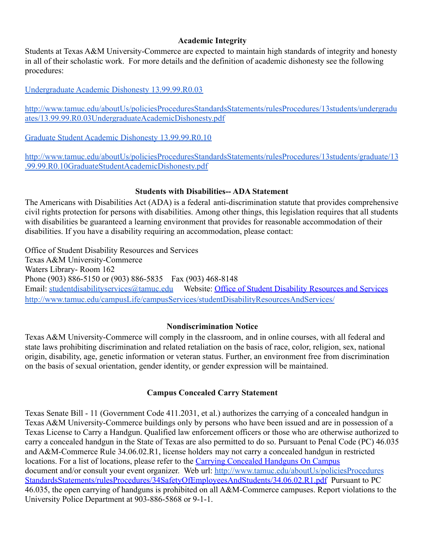# **Academic Integrity**

Students at Texas A&M University-Commerce are expected to maintain high standards of integrity and honesty in all of their scholastic work. For more details and the definition of academic dishonesty see the following procedures:

[Undergraduate Academic Dishonesty 13.99.99.R0.03](http://www.tamuc.edu/aboutUs/policiesProceduresStandardsStatements/rulesProcedures/13students/undergraduates/13.99.99.R0.03UndergraduateAcademicDishonesty.pdf)

[http://www.tamuc.edu/aboutUs/policiesProceduresStandardsStatements/rulesProcedures/13students/undergradu](http://www.tamuc.edu/aboutUs/policiesProceduresStandardsStatements/rulesProcedures/13students/undergraduates/13.99.99.R0.03UndergraduateAcademicDishonesty.pdf) [ates/13.99.99.R0.03UndergraduateAcademicDishonesty.pdf](http://www.tamuc.edu/aboutUs/policiesProceduresStandardsStatements/rulesProcedures/13students/undergraduates/13.99.99.R0.03UndergraduateAcademicDishonesty.pdf)

[Graduate Student Academic Dishonesty 13.99.99.R0.10](http://www.tamuc.edu/aboutUs/policiesProceduresStandardsStatements/rulesProcedures/13students/graduate/13.99.99.R0.10GraduateStudentAcademicDishonesty.pdf)

[http://www.tamuc.edu/aboutUs/policiesProceduresStandardsStatements/rulesProcedures/13students/graduate/13](http://www.tamuc.edu/aboutUs/policiesProceduresStandardsStatements/rulesProcedures/13students/graduate/13.99.99.R0.10GraduateStudentAcademicDishonesty.pdf) [.99.99.R0.10GraduateStudentAcademicDishonesty.pdf](http://www.tamuc.edu/aboutUs/policiesProceduresStandardsStatements/rulesProcedures/13students/graduate/13.99.99.R0.10GraduateStudentAcademicDishonesty.pdf)

## **Students with Disabilities-- ADA Statement**

The Americans with Disabilities Act (ADA) is a federal anti-discrimination statute that provides comprehensive civil rights protection for persons with disabilities. Among other things, this legislation requires that all students with disabilities be guaranteed a learning environment that provides for reasonable accommodation of their disabilities. If you have a disability requiring an accommodation, please contact:

Office of Student Disability Resources and Services Texas A&M University-Commerce Waters Library- Room 162 Phone (903) 886-5150 or (903) 886-5835 Fax (903) 468-8148 Email: [studentdisabilityservices@tamuc.edu](mailto:studentdisabilityservices@tamuc.edu) Website: [Office of Student Disability Resources and Services](http://www.tamuc.edu/campusLife/campusServices/studentDisabilityResourcesAndServices/) <http://www.tamuc.edu/campusLife/campusServices/studentDisabilityResourcesAndServices/>

# **Nondiscrimination Notice**

Texas A&M University-Commerce will comply in the classroom, and in online courses, with all federal and state laws prohibiting discrimination and related retaliation on the basis of race, color, religion, sex, national origin, disability, age, genetic information or veteran status. Further, an environment free from discrimination on the basis of sexual orientation, gender identity, or gender expression will be maintained.

# **Campus Concealed Carry Statement**

Texas Senate Bill - 11 (Government Code 411.2031, et al.) authorizes the carrying of a concealed handgun in Texas A&M University-Commerce buildings only by persons who have been issued and are in possession of a Texas License to Carry a Handgun. Qualified law enforcement officers or those who are otherwise authorized to carry a concealed handgun in the State of Texas are also permitted to do so. Pursuant to Penal Code (PC) 46.035 and A&M-Commerce Rule 34.06.02.R1, license holders may not carry a concealed handgun in restricted locations. For a list of locations, please refer to the [Carrying Concealed Handguns On Campus](http://www.tamuc.edu/aboutUs/policiesProceduresStandardsStatements/rulesProcedures/34SafetyOfEmployeesAndStudents/34.06.02.R1.pdf) document and/or consult your event organizer. Web url[:](http://www.tamuc.edu/aboutUs/policiesProceduresStandardsStatements/rulesProcedures/34SafetyOfEmployeesAndStudents/34.06.02.R1.pdf) <http://www.tamuc.edu/aboutUs/policiesProcedures> [StandardsStatements/rulesProcedures/34SafetyOfEmployeesAndStudents/34.06.02.R1.pdf](http://www.tamuc.edu/aboutUs/policiesProceduresStandardsStatements/rulesProcedures/34SafetyOfEmployeesAndStudents/34.06.02.R1.pdf) Pursuant to PC 46.035, the open carrying of handguns is prohibited on all A&M-Commerce campuses. Report violations to the University Police Department at 903-886-5868 or 9-1-1.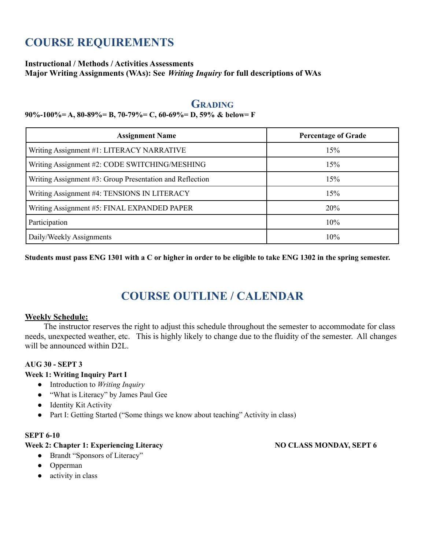# **COURSE REQUIREMENTS**

### **Instructional / Methods / Activities Assessments**

**Major Writing Assignments (WAs): See** *Writing Inquiry* **for full descriptions of WAs**

# **GRADING**

#### **90%-100%= A, 80-89%= B, 70-79%= C, 60-69%= D, 59% & below= F**

| <b>Assignment Name</b>                                   | <b>Percentage of Grade</b> |
|----------------------------------------------------------|----------------------------|
| Writing Assignment #1: LITERACY NARRATIVE                | 15%                        |
| Writing Assignment #2: CODE SWITCHING/MESHING            | 15%                        |
| Writing Assignment #3: Group Presentation and Reflection | 15%                        |
| Writing Assignment #4: TENSIONS IN LITERACY              | 15%                        |
| Writing Assignment #5: FINAL EXPANDED PAPER              | 20%                        |
| Participation                                            | 10%                        |
| Daily/Weekly Assignments                                 | 10%                        |

Students must pass ENG 1301 with a C or higher in order to be eligible to take ENG 1302 in the spring semester.

# **COURSE OUTLINE / CALENDAR**

### **Weekly Schedule:**

The instructor reserves the right to adjust this schedule throughout the semester to accommodate for class needs, unexpected weather, etc. This is highly likely to change due to the fluidity of the semester. All changes will be announced within D2L.

### **AUG 30 - SEPT 3**

#### **Week 1: Writing Inquiry Part I**

- Introduction to *Writing Inquiry*
- "What is Literacy" by James Paul Gee
- Identity Kit Activity
- Part I: Getting Started ("Some things we know about teaching" Activity in class)

#### **SEPT 6-10**

#### **Week 2: Chapter 1: Experiencing Literacy NO CLASS MONDAY, SEPT 6**

- Brandt "Sponsors of Literacy"
- Opperman
- activity in class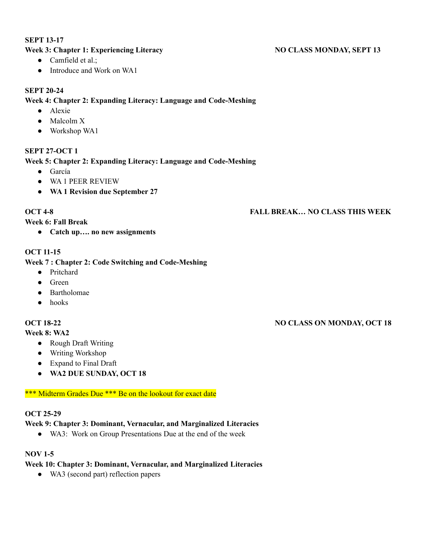#### **SEPT 13-17**

### **Week 3: Chapter 1: Experiencing Literacy NO CLASS MONDAY, SEPT 13**

- $\bullet$  Camfield et al.;
- Introduce and Work on WA1

#### **SEPT 20-24**

#### **Week 4: Chapter 2: Expanding Literacy: Language and Code-Meshing**

- Alexie
- Malcolm X
- Workshop WA1

#### **SEPT 27-OCT 1**

#### **Week 5: Chapter 2: Expanding Literacy: Language and Code-Meshing**

- García
- WA 1 PEER REVIEW
- **● WA 1 Revision due September 27**

### **OCT 4-8 FALL BREAK… NO CLASS THIS WEEK**

#### **Week 6: Fall Break**

● **Catch up…. no new assignments**

#### **OCT 11-15**

#### **Week 7 : Chapter 2: Code Switching and Code-Meshing**

- Pritchard
- Green
- Bartholomae
- hooks

#### **Week 8: WA2**

- Rough Draft Writing
- Writing Workshop
- Expand to Final Draft
- **● WA2 DUE SUNDAY, OCT 18**

#### \*\*\* Midterm Grades Due \*\*\* Be on the lookout for exact date

#### **OCT 25-29**

#### **Week 9: Chapter 3: Dominant, Vernacular, and Marginalized Literacies**

● WA3: Work on Group Presentations Due at the end of the week

#### **NOV 1-5**

# **Week 10: Chapter 3: Dominant, Vernacular, and Marginalized Literacies**

• WA3 (second part) reflection papers

# **OCT 18-22 NO CLASS ON MONDAY, OCT 18**